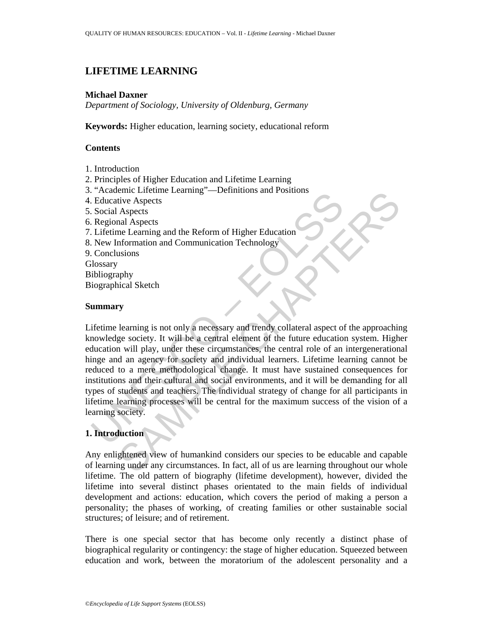# **LIFETIME LEARNING**

#### **Michael Daxner**

*Department of Sociology, University of Oldenburg, Germany* 

**Keywords:** Higher education, learning society, educational reform

### **Contents**

- 1. Introduction
- 2. Principles of Higher Education and Lifetime Learning
- 3. "Academic Lifetime Learning"—Definitions and Positions
- 4. Educative Aspects
- 5. Social Aspects
- 6. Regional Aspects
- 7. Lifetime Learning and the Reform of Higher Education
- 8. New Information and Communication Technology
- 9. Conclusions
- **Glossary**
- Bibliography
- Biographical Sketch

#### **Summary**

Relatative Aspects<br>
Relatative Aspects<br>
Social Aspects<br>
Social Aspects<br>
Social Aspects<br>
Social Aspects<br>
New Information and Communication Technology<br>
New Information and Communication Technology<br>
Conclusions<br>
Ilosgraphy<br>
i SAMPLE CHAPTERS Lifetime learning is not only a necessary and trendy collateral aspect of the approaching knowledge society. It will be a central element of the future education system. Higher education will play, under these circumstances, the central role of an intergenerational hinge and an agency for society and individual learners. Lifetime learning cannot be reduced to a mere methodological change. It must have sustained consequences for institutions and their cultural and social environments, and it will be demanding for all types of students and teachers. The individual strategy of change for all participants in lifetime learning processes will be central for the maximum success of the vision of a learning society.

# **1. Introduction**

Any enlightened view of humankind considers our species to be educable and capable of learning under any circumstances. In fact, all of us are learning throughout our whole lifetime. The old pattern of biography (lifetime development), however, divided the lifetime into several distinct phases orientated to the main fields of individual development and actions: education, which covers the period of making a person a personality; the phases of working, of creating families or other sustainable social structures; of leisure; and of retirement.

There is one special sector that has become only recently a distinct phase of biographical regularity or contingency: the stage of higher education. Squeezed between education and work, between the moratorium of the adolescent personality and a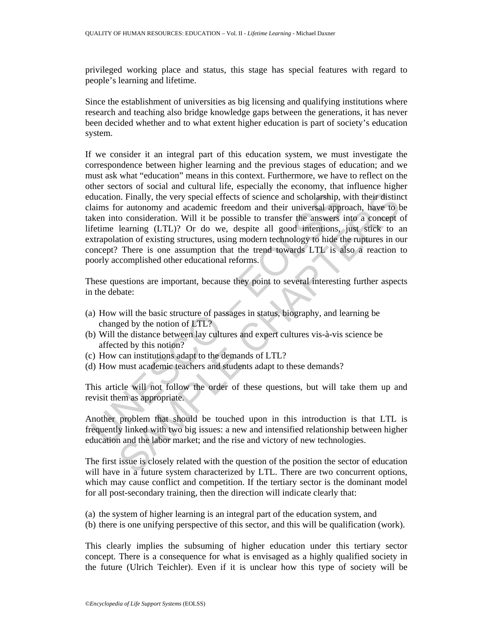privileged working place and status, this stage has special features with regard to people's learning and lifetime.

Since the establishment of universities as big licensing and qualifying institutions where research and teaching also bridge knowledge gaps between the generations, it has never been decided whether and to what extent higher education is part of society's education system.

ducation. Finally, the very special effects of science and scholarship, valums for autonomy and academic freedom and their universal approximation. Will it be possible to transfor the answers infections (Efferime learning n. Finally, the very special effects of science and scholarship, with their distinuated coordination and their distinue freedom and their universal approach, have to be consideration. Will it be possible to transfer the an If we consider it an integral part of this education system, we must investigate the correspondence between higher learning and the previous stages of education; and we must ask what "education" means in this context. Furthermore, we have to reflect on the other sectors of social and cultural life, especially the economy, that influence higher education. Finally, the very special effects of science and scholarship, with their distinct claims for autonomy and academic freedom and their universal approach, have to be taken into consideration. Will it be possible to transfer the answers into a concept of lifetime learning (LTL)? Or do we, despite all good intentions, just stick to an extrapolation of existing structures, using modern technology to hide the ruptures in our concept? There is one assumption that the trend towards LTL is also a reaction to poorly accomplished other educational reforms.

These questions are important, because they point to several interesting further aspects in the debate:

- (a) How will the basic structure of passages in status, biography, and learning be changed by the notion of LTL?
- (b) Will the distance between lay cultures and expert cultures vis-à-vis science be affected by this notion?
- (c) How can institutions adapt to the demands of LTL?
- (d) How must academic teachers and students adapt to these demands?

This article will not follow the order of these questions, but will take them up and revisit them as appropriate.

Another problem that should be touched upon in this introduction is that LTL is frequently linked with two big issues: a new and intensified relationship between higher education and the labor market; and the rise and victory of new technologies.

The first issue is closely related with the question of the position the sector of education will have in a future system characterized by LTL. There are two concurrent options, which may cause conflict and competition. If the tertiary sector is the dominant model for all post-secondary training, then the direction will indicate clearly that:

(a) the system of higher learning is an integral part of the education system, and

(b) there is one unifying perspective of this sector, and this will be qualification (work).

This clearly implies the subsuming of higher education under this tertiary sector concept. There is a consequence for what is envisaged as a highly qualified society in the future (Ulrich Teichler). Even if it is unclear how this type of society will be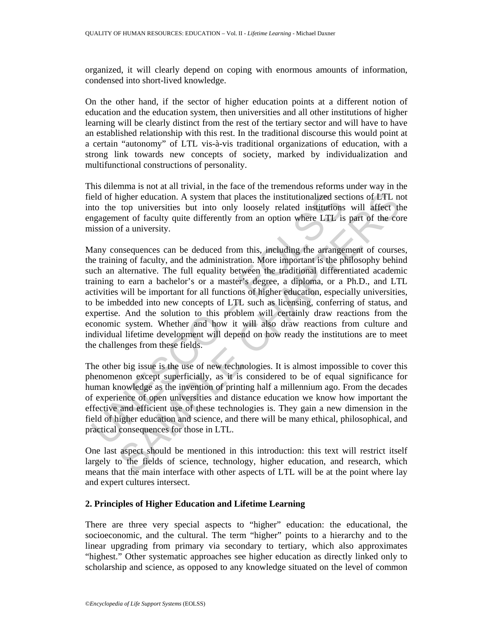organized, it will clearly depend on coping with enormous amounts of information, condensed into short-lived knowledge.

On the other hand, if the sector of higher education points at a different notion of education and the education system, then universities and all other institutions of higher learning will be clearly distinct from the rest of the tertiary sector and will have to have an established relationship with this rest. In the traditional discourse this would point at a certain "autonomy" of LTL vis-à-vis traditional organizations of education, with a strong link towards new concepts of society, marked by individualization and multifunctional constructions of personality.

This dilemma is not at all trivial, in the face of the tremendous reforms under way in the field of higher education. A system that places the institutionalized sections of LTL not into the top universities but into only loosely related institutions will affect the engagement of faculty quite differently from an option where LTL is part of the core mission of a university.

eld of higher education. A system that places the institutionalized secto the top universities but into only loosely related institutions are approach of faculty quite differently from an option where LTL is sission of a u ingher education. A system that places the institutionalized sections of LTL not<br>top universities but into only loosely related institutions will affect then<br>tof faculty quite differently from an option where LTL is part o Many consequences can be deduced from this, including the arrangement of courses, the training of faculty, and the administration. More important is the philosophy behind such an alternative. The full equality between the traditional differentiated academic training to earn a bachelor's or a master's degree, a diploma, or a Ph.D., and LTL activities will be important for all functions of higher education, especially universities, to be imbedded into new concepts of LTL such as licensing, conferring of status, and expertise. And the solution to this problem will certainly draw reactions from the economic system. Whether and how it will also draw reactions from culture and individual lifetime development will depend on how ready the institutions are to meet the challenges from these fields.

The other big issue is the use of new technologies. It is almost impossible to cover this phenomenon except superficially, as it is considered to be of equal significance for human knowledge as the invention of printing half a millennium ago. From the decades of experience of open universities and distance education we know how important the effective and efficient use of these technologies is. They gain a new dimension in the field of higher education and science, and there will be many ethical, philosophical, and practical consequences for those in LTL.

One last aspect should be mentioned in this introduction: this text will restrict itself largely to the fields of science, technology, higher education, and research, which means that the main interface with other aspects of LTL will be at the point where lay and expert cultures intersect.

## **2. Principles of Higher Education and Lifetime Learning**

There are three very special aspects to "higher" education: the educational, the socioeconomic, and the cultural. The term "higher" points to a hierarchy and to the linear upgrading from primary via secondary to tertiary, which also approximates "highest." Other systematic approaches see higher education as directly linked only to scholarship and science, as opposed to any knowledge situated on the level of common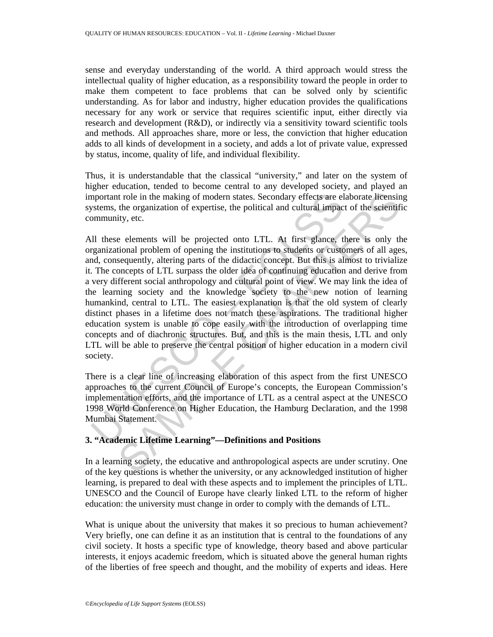sense and everyday understanding of the world. A third approach would stress the intellectual quality of higher education, as a responsibility toward the people in order to make them competent to face problems that can be solved only by scientific understanding. As for labor and industry, higher education provides the qualifications necessary for any work or service that requires scientific input, either directly via research and development (R&D), or indirectly via a sensitivity toward scientific tools and methods. All approaches share, more or less, the conviction that higher education adds to all kinds of development in a society, and adds a lot of private value, expressed by status, income, quality of life, and individual flexibility.

Thus, it is understandable that the classical "university," and later on the system of higher education, tended to become central to any developed society, and played an important role in the making of modern states. Secondary effects are elaborate licensing systems, the organization of expertise, the political and cultural impact of the scientific community, etc.

mportant role in the making of modern states. Secondary effects are el<br>systems, the organization of expertise, the political and cultural impac-<br>ommunity, etc.<br>Ill these elements will be projected onto LTL. At first glance t role in the making of modern states. Secondary effects are elaborate licensin<br>the organization of expertise, the political and cultural impact of the scientifity, etc.<br>
E elements will be projected onto LTL. At first gla All these elements will be projected onto LTL. At first glance, there is only the organizational problem of opening the institutions to students or customers of all ages, and, consequently, altering parts of the didactic concept. But this is almost to trivialize it. The concepts of LTL surpass the older idea of continuing education and derive from a very different social anthropology and cultural point of view. We may link the idea of the learning society and the knowledge society to the new notion of learning humankind, central to LTL. The easiest explanation is that the old system of clearly distinct phases in a lifetime does not match these aspirations. The traditional higher education system is unable to cope easily with the introduction of overlapping time concepts and of diachronic structures. But, and this is the main thesis, LTL and only LTL will be able to preserve the central position of higher education in a modern civil society.

There is a clear line of increasing elaboration of this aspect from the first UNESCO approaches to the current Council of Europe's concepts, the European Commission's implementation efforts, and the importance of LTL as a central aspect at the UNESCO 1998 World Conference on Higher Education, the Hamburg Declaration, and the 1998 Mumbai Statement.

## **3. "Academic Lifetime Learning"—Definitions and Positions**

In a learning society, the educative and anthropological aspects are under scrutiny. One of the key questions is whether the university, or any acknowledged institution of higher learning, is prepared to deal with these aspects and to implement the principles of LTL. UNESCO and the Council of Europe have clearly linked LTL to the reform of higher education: the university must change in order to comply with the demands of LTL.

What is unique about the university that makes it so precious to human achievement? Very briefly, one can define it as an institution that is central to the foundations of any civil society. It hosts a specific type of knowledge, theory based and above particular interests, it enjoys academic freedom, which is situated above the general human rights of the liberties of free speech and thought, and the mobility of experts and ideas. Here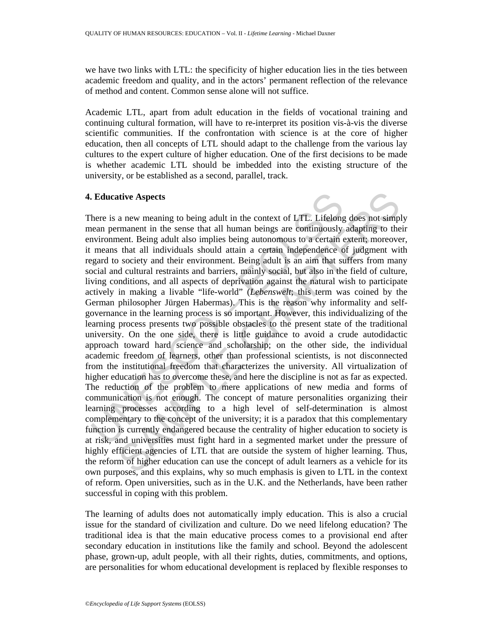we have two links with LTL: the specificity of higher education lies in the ties between academic freedom and quality, and in the actors' permanent reflection of the relevance of method and content. Common sense alone will not suffice.

Academic LTL, apart from adult education in the fields of vocational training and continuing cultural formation, will have to re-interpret its position vis-à-vis the diverse scientific communities. If the confrontation with science is at the core of higher education, then all concepts of LTL should adapt to the challenge from the various lay cultures to the expert culture of higher education. One of the first decisions to be made is whether academic LTL should be imbedded into the existing structure of the university, or be established as a second, parallel, track.

# **4. Educative Aspects**

**Educative Aspects**<br>
here is a new meaning to being adult in the context of LTL. Lifelong<br>
hence is a new meaning to being adult in the context of LTL. Lifelong<br>
nean permanent in the sense that all human beings are conti dive Aspects<br>a new meaning to being adult in the context of LTL. Lifelong does not simplemanent in the sense that all human beings are continuously adapting to the<br>ent. Being adult also implies being autonomous to a certa There is a new meaning to being adult in the context of LTL. Lifelong does not simply mean permanent in the sense that all human beings are continuously adapting to their environment. Being adult also implies being autonomous to a certain extent; moreover, it means that all individuals should attain a certain independence of judgment with regard to society and their environment. Being adult is an aim that suffers from many social and cultural restraints and barriers, mainly social, but also in the field of culture, living conditions, and all aspects of deprivation against the natural wish to participate actively in making a livable "life-world" (*Lebenswelt*; this term was coined by the German philosopher Jürgen Habermas). This is the reason why informality and selfgovernance in the learning process is so important. However, this individualizing of the learning process presents two possible obstacles to the present state of the traditional university. On the one side, there is little guidance to avoid a crude autodidactic approach toward hard science and scholarship; on the other side, the individual academic freedom of learners, other than professional scientists, is not disconnected from the institutional freedom that characterizes the university. All virtualization of higher education has to overcome these, and here the discipline is not as far as expected. The reduction of the problem to mere applications of new media and forms of communication is not enough. The concept of mature personalities organizing their learning processes according to a high level of self-determination is almost complementary to the concept of the university; it is a paradox that this complementary function is currently endangered because the centrality of higher education to society is at risk, and universities must fight hard in a segmented market under the pressure of highly efficient agencies of LTL that are outside the system of higher learning. Thus, the reform of higher education can use the concept of adult learners as a vehicle for its own purposes, and this explains, why so much emphasis is given to LTL in the context of reform. Open universities, such as in the U.K. and the Netherlands, have been rather successful in coping with this problem.

The learning of adults does not automatically imply education. This is also a crucial issue for the standard of civilization and culture. Do we need lifelong education? The traditional idea is that the main educative process comes to a provisional end after secondary education in institutions like the family and school. Beyond the adolescent phase, grown-up, adult people, with all their rights, duties, commitments, and options, are personalities for whom educational development is replaced by flexible responses to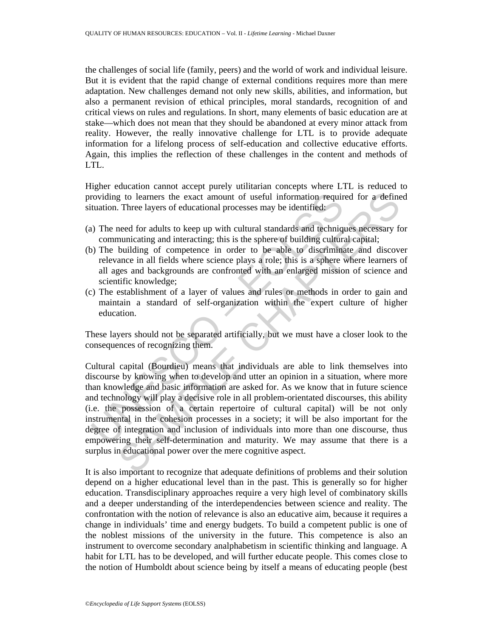the challenges of social life (family, peers) and the world of work and individual leisure. But it is evident that the rapid change of external conditions requires more than mere adaptation. New challenges demand not only new skills, abilities, and information, but also a permanent revision of ethical principles, moral standards, recognition of and critical views on rules and regulations. In short, many elements of basic education are at stake—which does not mean that they should be abandoned at every minor attack from reality. However, the really innovative challenge for LTL is to provide adequate information for a lifelong process of self-education and collective educative efforts. Again, this implies the reflection of these challenges in the content and methods of LTL.

Higher education cannot accept purely utilitarian concepts where LTL is reduced to providing to learners the exact amount of useful information required for a defined situation. Three layers of educational processes may be identified:

- (a) The need for adults to keep up with cultural standards and techniques necessary for communicating and interacting; this is the sphere of building cultural capital;
- (b) The building of competence in order to be able to discriminate and discover relevance in all fields where science plays a role; this is a sphere where learners of all ages and backgrounds are confronted with an enlarged mission of science and scientific knowledge;
- (c) The establishment of a layer of values and rules or methods in order to gain and maintain a standard of self-organization within the expert culture of higher education.

These layers should not be separated artificially, but we must have a closer look to the consequences of recognizing them.

roviding to learners the exact amount of useful information requirectuation. Three layers of educational processes may be identified:<br>
1) The need for adults to keep up with cultural standards and techniq<br>
1) The need for g to learners the exact amount of useful information required for a define<br>Three layers of educational processes may be identified;<br>need for adults to keep up with cultural standards and techniques necessary for<br>unicating Cultural capital (Bourdieu) means that individuals are able to link themselves into discourse by knowing when to develop and utter an opinion in a situation, where more than knowledge and basic information are asked for. As we know that in future science and technology will play a decisive role in all problem-orientated discourses, this ability (i.e. the possession of a certain repertoire of cultural capital) will be not only instrumental in the cohesion processes in a society; it will be also important for the degree of integration and inclusion of individuals into more than one discourse, thus empowering their self-determination and maturity. We may assume that there is a surplus in educational power over the mere cognitive aspect.

It is also important to recognize that adequate definitions of problems and their solution depend on a higher educational level than in the past. This is generally so for higher education. Transdisciplinary approaches require a very high level of combinatory skills and a deeper understanding of the interdependencies between science and reality. The confrontation with the notion of relevance is also an educative aim, because it requires a change in individuals' time and energy budgets. To build a competent public is one of the noblest missions of the university in the future. This competence is also an instrument to overcome secondary analphabetism in scientific thinking and language. A habit for LTL has to be developed, and will further educate people. This comes close to the notion of Humboldt about science being by itself a means of educating people (best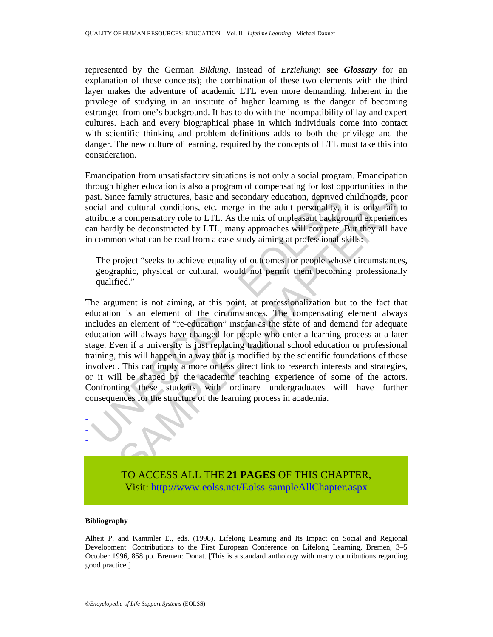represented by the German *Bildung*, instead of *Erziehung*: **see** *Glossary* for an explanation of these concepts); the combination of these two elements with the third layer makes the adventure of academic LTL even more demanding. Inherent in the privilege of studying in an institute of higher learning is the danger of becoming estranged from one's background. It has to do with the incompatibility of lay and expert cultures. Each and every biographical phase in which individuals come into contact with scientific thinking and problem definitions adds to both the privilege and the danger. The new culture of learning, required by the concepts of LTL must take this into consideration.

Emancipation from unsatisfactory situations is not only a social program. Emancipation through higher education is also a program of compensating for lost opportunities in the past. Since family structures, basic and secondary education, deprived childhoods, poor social and cultural conditions, etc. merge in the adult personality, it is only fair to attribute a compensatory role to LTL. As the mix of unpleasant background experiences can hardly be deconstructed by LTL, many approaches will compete. But they all have in common what can be read from a case study aiming at professional skills:

The project "seeks to achieve equality of outcomes for people whose circumstances, geographic, physical or cultural, would not permit them becoming professionally qualified."

ast. Since family structures, basic and secondary education, deprived<br>orial and cultural conditions, etc. merge in the adult personality, i<br>tribute a compensatory role to LTL. As the mix of unpleasant backgram<br>in hardly be examply structures, basic and secondary education, deprived childhoods, poor delutral conditions, etc. merge in the adult personality, it is only fair to contract a compensator yole to LTL. As the mix of unpleasant backgro The argument is not aiming, at this point, at professionalization but to the fact that education is an element of the circumstances. The compensating element always includes an element of "re-education" insofar as the state of and demand for adequate education will always have changed for people who enter a learning process at a later stage. Even if a university is just replacing traditional school education or professional training, this will happen in a way that is modified by the scientific foundations of those involved. This can imply a more or less direct link to research interests and strategies, or it will be shaped by the academic teaching experience of some of the actors. Confronting these students with ordinary undergraduates will have further consequences for the structure of the learning process in academia.



Visit[: http://www.eolss.net/Eolss-sampleAllChapter.aspx](https://www.eolss.net/ebooklib/sc_cart.aspx?File=E1-12-03-08)

#### **Bibliography**

- - -

Alheit P. and Kammler E., eds. (1998). Lifelong Learning and Its Impact on Social and Regional Development: Contributions to the First European Conference on Lifelong Learning, Bremen, 3–5 October 1996, 858 pp. Bremen: Donat. [This is a standard anthology with many contributions regarding good practice.]